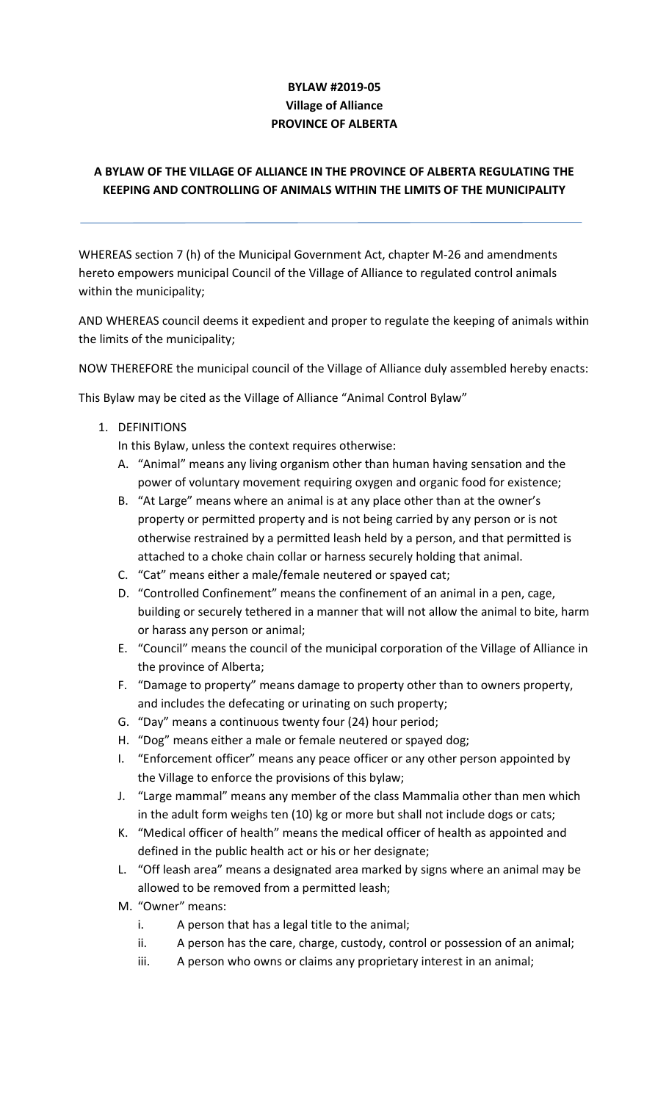# **BYLAW #2019-05 Village of Alliance PROVINCE OF ALBERTA**

# **A BYLAW OF THE VILLAGE OF ALLIANCE IN THE PROVINCE OF ALBERTA REGULATING THE KEEPING AND CONTROLLING OF ANIMALS WITHIN THE LIMITS OF THE MUNICIPALITY**

WHEREAS section 7 (h) of the Municipal Government Act, chapter M-26 and amendments hereto empowers municipal Council of the Village of Alliance to regulated control animals within the municipality;

AND WHEREAS council deems it expedient and proper to regulate the keeping of animals within the limits of the municipality;

NOW THEREFORE the municipal council of the Village of Alliance duly assembled hereby enacts:

This Bylaw may be cited as the Village of Alliance "Animal Control Bylaw"

1. DEFINITIONS

In this Bylaw, unless the context requires otherwise:

- A. "Animal" means any living organism other than human having sensation and the power of voluntary movement requiring oxygen and organic food for existence;
- B. "At Large" means where an animal is at any place other than at the owner's property or permitted property and is not being carried by any person or is not otherwise restrained by a permitted leash held by a person, and that permitted is attached to a choke chain collar or harness securely holding that animal.
- C. "Cat" means either a male/female neutered or spayed cat;
- D. "Controlled Confinement" means the confinement of an animal in a pen, cage, building or securely tethered in a manner that will not allow the animal to bite, harm or harass any person or animal;
- E. "Council" means the council of the municipal corporation of the Village of Alliance in the province of Alberta;
- F. "Damage to property" means damage to property other than to owners property, and includes the defecating or urinating on such property;
- G. "Day" means a continuous twenty four (24) hour period;
- H. "Dog" means either a male or female neutered or spayed dog;
- I. "Enforcement officer" means any peace officer or any other person appointed by the Village to enforce the provisions of this bylaw;
- J. "Large mammal" means any member of the class Mammalia other than men which in the adult form weighs ten (10) kg or more but shall not include dogs or cats;
- K. "Medical officer of health" means the medical officer of health as appointed and defined in the public health act or his or her designate;
- L. "Off leash area" means a designated area marked by signs where an animal may be allowed to be removed from a permitted leash;
- M. "Owner" means:
	- i. A person that has a legal title to the animal;
	- ii. A person has the care, charge, custody, control or possession of an animal;
	- iii. A person who owns or claims any proprietary interest in an animal;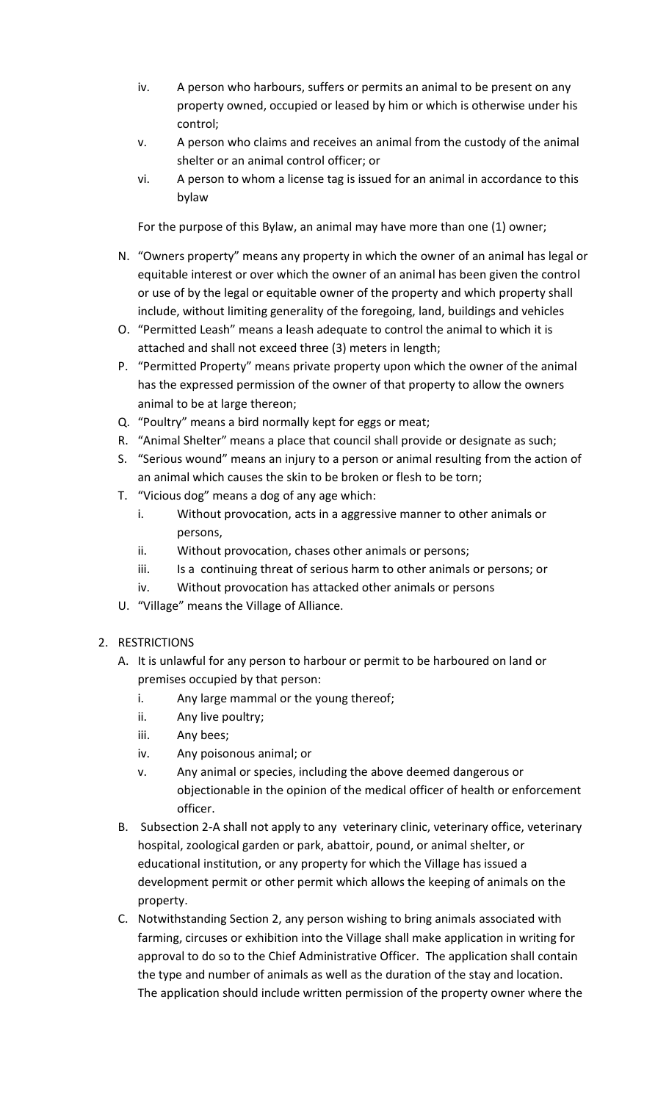- iv. A person who harbours, suffers or permits an animal to be present on any property owned, occupied or leased by him or which is otherwise under his control;
- v. A person who claims and receives an animal from the custody of the animal shelter or an animal control officer; or
- vi. A person to whom a license tag is issued for an animal in accordance to this bylaw

For the purpose of this Bylaw, an animal may have more than one (1) owner;

- N. "Owners property" means any property in which the owner of an animal has legal or equitable interest or over which the owner of an animal has been given the control or use of by the legal or equitable owner of the property and which property shall include, without limiting generality of the foregoing, land, buildings and vehicles
- O. "Permitted Leash" means a leash adequate to control the animal to which it is attached and shall not exceed three (3) meters in length;
- P. "Permitted Property" means private property upon which the owner of the animal has the expressed permission of the owner of that property to allow the owners animal to be at large thereon;
- Q. "Poultry" means a bird normally kept for eggs or meat;
- R. "Animal Shelter" means a place that council shall provide or designate as such;
- S. "Serious wound" means an injury to a person or animal resulting from the action of an animal which causes the skin to be broken or flesh to be torn;
- T. "Vicious dog" means a dog of any age which:
	- i. Without provocation, acts in a aggressive manner to other animals or persons,
	- ii. Without provocation, chases other animals or persons;
	- iii. Is a continuing threat of serious harm to other animals or persons; or
	- iv. Without provocation has attacked other animals or persons
- U. "Village" means the Village of Alliance.

### 2. RESTRICTIONS

- A. It is unlawful for any person to harbour or permit to be harboured on land or premises occupied by that person:
	- i. Any large mammal or the young thereof;
	- ii. Any live poultry;
	- iii. Any bees;
	- iv. Any poisonous animal; or
	- v. Any animal or species, including the above deemed dangerous or objectionable in the opinion of the medical officer of health or enforcement officer.
- B. Subsection 2-A shall not apply to any veterinary clinic, veterinary office, veterinary hospital, zoological garden or park, abattoir, pound, or animal shelter, or educational institution, or any property for which the Village has issued a development permit or other permit which allows the keeping of animals on the property.
- C. Notwithstanding Section 2, any person wishing to bring animals associated with farming, circuses or exhibition into the Village shall make application in writing for approval to do so to the Chief Administrative Officer. The application shall contain the type and number of animals as well as the duration of the stay and location. The application should include written permission of the property owner where the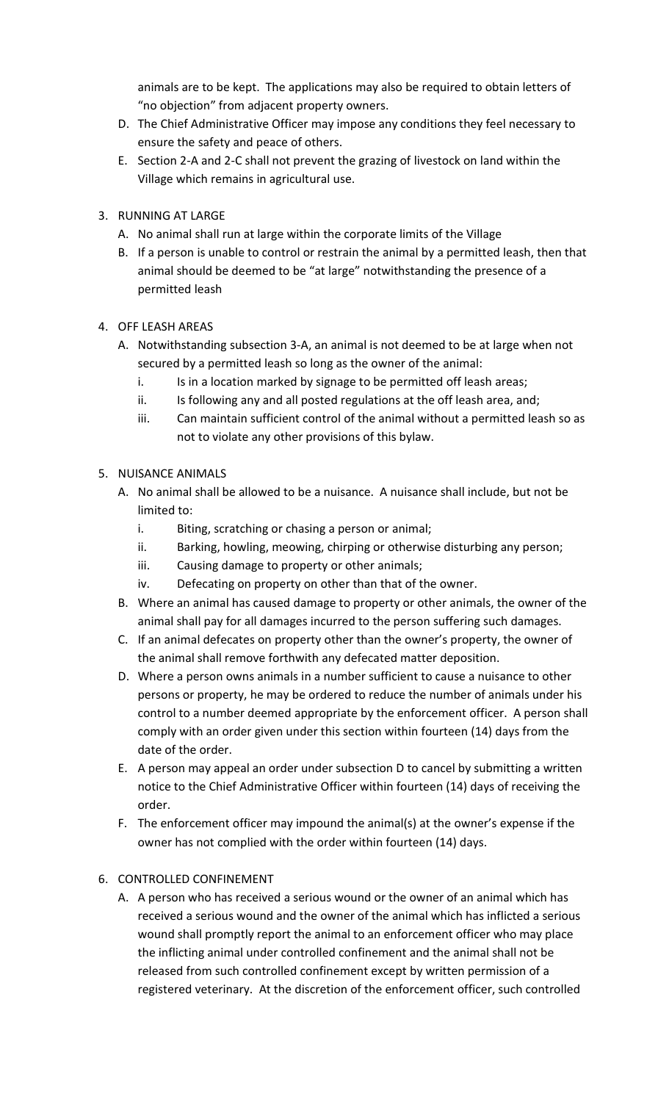animals are to be kept. The applications may also be required to obtain letters of "no objection" from adjacent property owners.

- D. The Chief Administrative Officer may impose any conditions they feel necessary to ensure the safety and peace of others.
- E. Section 2-A and 2-C shall not prevent the grazing of livestock on land within the Village which remains in agricultural use.
- 3. RUNNING AT LARGE
	- A. No animal shall run at large within the corporate limits of the Village
	- B. If a person is unable to control or restrain the animal by a permitted leash, then that animal should be deemed to be "at large" notwithstanding the presence of a permitted leash
- 4. OFF LEASH AREAS
	- A. Notwithstanding subsection 3-A, an animal is not deemed to be at large when not secured by a permitted leash so long as the owner of the animal:
		- i. Is in a location marked by signage to be permitted off leash areas;
		- ii. Is following any and all posted regulations at the off leash area, and;
		- iii. Can maintain sufficient control of the animal without a permitted leash so as not to violate any other provisions of this bylaw.

### 5. NUISANCE ANIMALS

- A. No animal shall be allowed to be a nuisance. A nuisance shall include, but not be limited to:
	- i. Biting, scratching or chasing a person or animal;
	- ii. Barking, howling, meowing, chirping or otherwise disturbing any person;
	- iii. Causing damage to property or other animals;
	- iv. Defecating on property on other than that of the owner.
- B. Where an animal has caused damage to property or other animals, the owner of the animal shall pay for all damages incurred to the person suffering such damages.
- C. If an animal defecates on property other than the owner's property, the owner of the animal shall remove forthwith any defecated matter deposition.
- D. Where a person owns animals in a number sufficient to cause a nuisance to other persons or property, he may be ordered to reduce the number of animals under his control to a number deemed appropriate by the enforcement officer. A person shall comply with an order given under this section within fourteen (14) days from the date of the order.
- E. A person may appeal an order under subsection D to cancel by submitting a written notice to the Chief Administrative Officer within fourteen (14) days of receiving the order.
- F. The enforcement officer may impound the animal(s) at the owner's expense if the owner has not complied with the order within fourteen (14) days.

### 6. CONTROLLED CONFINEMENT

A. A person who has received a serious wound or the owner of an animal which has received a serious wound and the owner of the animal which has inflicted a serious wound shall promptly report the animal to an enforcement officer who may place the inflicting animal under controlled confinement and the animal shall not be released from such controlled confinement except by written permission of a registered veterinary. At the discretion of the enforcement officer, such controlled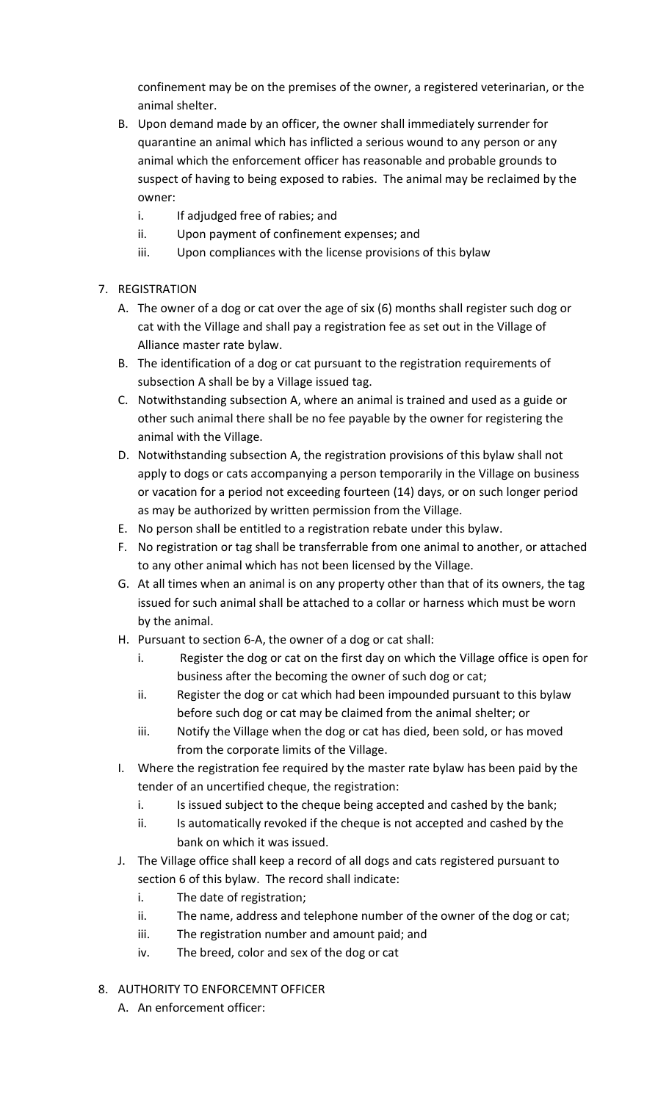confinement may be on the premises of the owner, a registered veterinarian, or the animal shelter.

- B. Upon demand made by an officer, the owner shall immediately surrender for quarantine an animal which has inflicted a serious wound to any person or any animal which the enforcement officer has reasonable and probable grounds to suspect of having to being exposed to rabies. The animal may be reclaimed by the owner:
	- i. If adjudged free of rabies; and
	- ii. Upon payment of confinement expenses; and
	- iii. Upon compliances with the license provisions of this bylaw

### 7. REGISTRATION

- A. The owner of a dog or cat over the age of six (6) months shall register such dog or cat with the Village and shall pay a registration fee as set out in the Village of Alliance master rate bylaw.
- B. The identification of a dog or cat pursuant to the registration requirements of subsection A shall be by a Village issued tag.
- C. Notwithstanding subsection A, where an animal is trained and used as a guide or other such animal there shall be no fee payable by the owner for registering the animal with the Village.
- D. Notwithstanding subsection A, the registration provisions of this bylaw shall not apply to dogs or cats accompanying a person temporarily in the Village on business or vacation for a period not exceeding fourteen (14) days, or on such longer period as may be authorized by written permission from the Village.
- E. No person shall be entitled to a registration rebate under this bylaw.
- F. No registration or tag shall be transferrable from one animal to another, or attached to any other animal which has not been licensed by the Village.
- G. At all times when an animal is on any property other than that of its owners, the tag issued for such animal shall be attached to a collar or harness which must be worn by the animal.
- H. Pursuant to section 6-A, the owner of a dog or cat shall:
	- i. Register the dog or cat on the first day on which the Village office is open for business after the becoming the owner of such dog or cat;
	- ii. Register the dog or cat which had been impounded pursuant to this bylaw before such dog or cat may be claimed from the animal shelter; or
	- iii. Notify the Village when the dog or cat has died, been sold, or has moved from the corporate limits of the Village.
- I. Where the registration fee required by the master rate bylaw has been paid by the tender of an uncertified cheque, the registration:
	- i. Is issued subject to the cheque being accepted and cashed by the bank;
	- ii. Is automatically revoked if the cheque is not accepted and cashed by the bank on which it was issued.
- J. The Village office shall keep a record of all dogs and cats registered pursuant to section 6 of this bylaw. The record shall indicate:
	- i. The date of registration;
	- ii. The name, address and telephone number of the owner of the dog or cat;
	- iii. The registration number and amount paid; and
	- iv. The breed, color and sex of the dog or cat
- 8. AUTHORITY TO ENFORCEMNT OFFICER
	- A. An enforcement officer: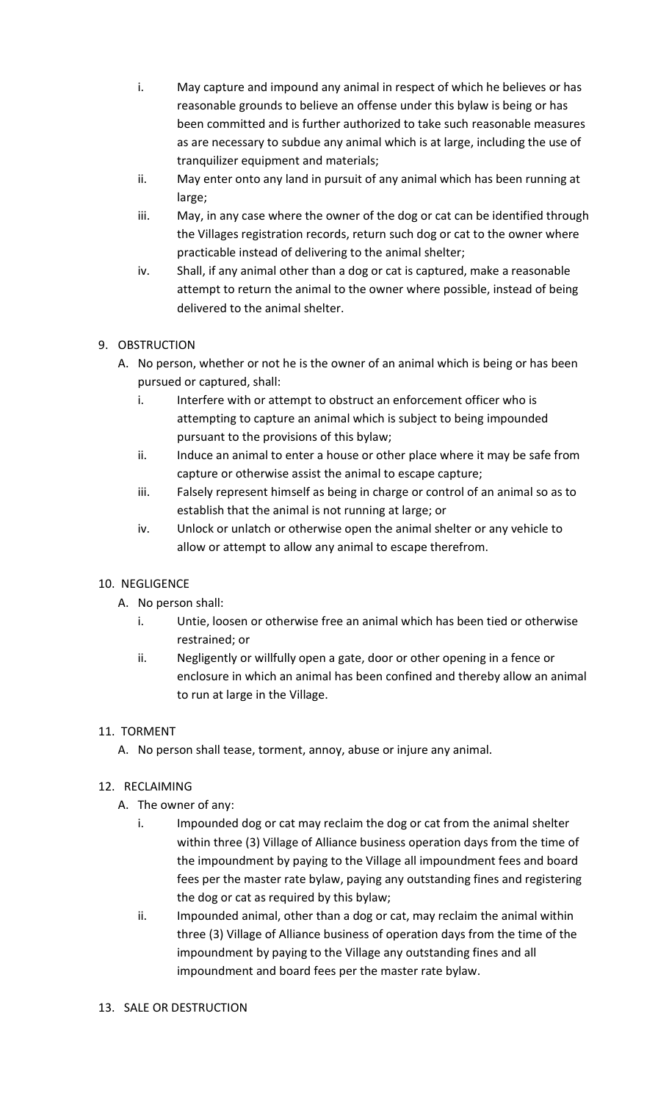- i. May capture and impound any animal in respect of which he believes or has reasonable grounds to believe an offense under this bylaw is being or has been committed and is further authorized to take such reasonable measures as are necessary to subdue any animal which is at large, including the use of tranquilizer equipment and materials;
- ii. May enter onto any land in pursuit of any animal which has been running at large;
- iii. May, in any case where the owner of the dog or cat can be identified through the Villages registration records, return such dog or cat to the owner where practicable instead of delivering to the animal shelter;
- iv. Shall, if any animal other than a dog or cat is captured, make a reasonable attempt to return the animal to the owner where possible, instead of being delivered to the animal shelter.

# 9. OBSTRUCTION

- A. No person, whether or not he is the owner of an animal which is being or has been pursued or captured, shall:
	- i. Interfere with or attempt to obstruct an enforcement officer who is attempting to capture an animal which is subject to being impounded pursuant to the provisions of this bylaw;
	- ii. Induce an animal to enter a house or other place where it may be safe from capture or otherwise assist the animal to escape capture;
	- iii. Falsely represent himself as being in charge or control of an animal so as to establish that the animal is not running at large; or
	- iv. Unlock or unlatch or otherwise open the animal shelter or any vehicle to allow or attempt to allow any animal to escape therefrom.

### 10. NEGLIGENCE

- A. No person shall:
	- i. Untie, loosen or otherwise free an animal which has been tied or otherwise restrained; or
	- ii. Negligently or willfully open a gate, door or other opening in a fence or enclosure in which an animal has been confined and thereby allow an animal to run at large in the Village.

### 11. TORMENT

A. No person shall tease, torment, annoy, abuse or injure any animal.

### 12. RECLAIMING

- A. The owner of any:
	- i. Impounded dog or cat may reclaim the dog or cat from the animal shelter within three (3) Village of Alliance business operation days from the time of the impoundment by paying to the Village all impoundment fees and board fees per the master rate bylaw, paying any outstanding fines and registering the dog or cat as required by this bylaw;
	- ii. Impounded animal, other than a dog or cat, may reclaim the animal within three (3) Village of Alliance business of operation days from the time of the impoundment by paying to the Village any outstanding fines and all impoundment and board fees per the master rate bylaw.

#### 13. SALE OR DESTRUCTION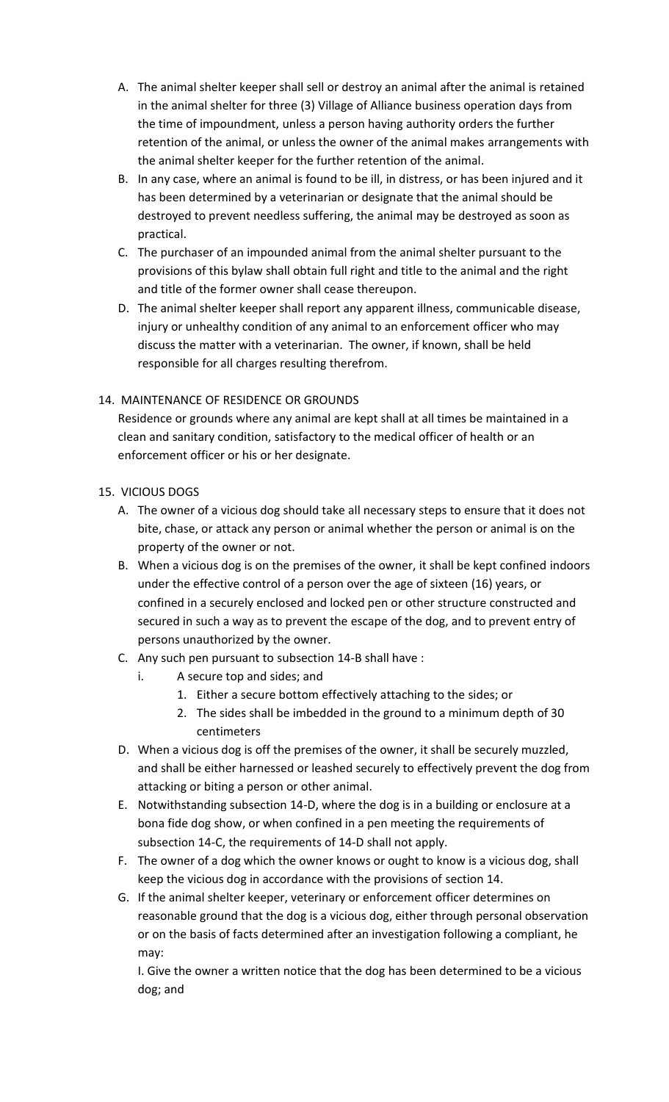- A. The animal shelter keeper shall sell or destroy an animal after the animal is retained in the animal shelter for three (3) Village of Alliance business operation days from the time of impoundment, unless a person having authority orders the further retention of the animal, or unless the owner of the animal makes arrangements with the animal shelter keeper for the further retention of the animal.
- B. In any case, where an animal is found to be ill, in distress, or has been injured and it has been determined by a veterinarian or designate that the animal should be destroyed to prevent needless suffering, the animal may be destroyed as soon as practical.
- C. The purchaser of an impounded animal from the animal shelter pursuant to the provisions of this bylaw shall obtain full right and title to the animal and the right and title of the former owner shall cease thereupon.
- D. The animal shelter keeper shall report any apparent illness, communicable disease, injury or unhealthy condition of any animal to an enforcement officer who may discuss the matter with a veterinarian. The owner, if known, shall be held responsible for all charges resulting therefrom.

# 14. MAINTENANCE OF RESIDENCE OR GROUNDS

Residence or grounds where any animal are kept shall at all times be maintained in a clean and sanitary condition, satisfactory to the medical officer of health or an enforcement officer or his or her designate.

### 15. VICIOUS DOGS

- A. The owner of a vicious dog should take all necessary steps to ensure that it does not bite, chase, or attack any person or animal whether the person or animal is on the property of the owner or not.
- B. When a vicious dog is on the premises of the owner, it shall be kept confined indoors under the effective control of a person over the age of sixteen (16) years, or confined in a securely enclosed and locked pen or other structure constructed and secured in such a way as to prevent the escape of the dog, and to prevent entry of persons unauthorized by the owner.
- C. Any such pen pursuant to subsection 14-B shall have :
	- i. A secure top and sides; and
		- 1. Either a secure bottom effectively attaching to the sides; or
		- 2. The sides shall be imbedded in the ground to a minimum depth of 30 centimeters
- D. When a vicious dog is off the premises of the owner, it shall be securely muzzled, and shall be either harnessed or leashed securely to effectively prevent the dog from attacking or biting a person or other animal.
- E. Notwithstanding subsection 14-D, where the dog is in a building or enclosure at a bona fide dog show, or when confined in a pen meeting the requirements of subsection 14-C, the requirements of 14-D shall not apply.
- F. The owner of a dog which the owner knows or ought to know is a vicious dog, shall keep the vicious dog in accordance with the provisions of section 14.
- G. If the animal shelter keeper, veterinary or enforcement officer determines on reasonable ground that the dog is a vicious dog, either through personal observation or on the basis of facts determined after an investigation following a compliant, he may:

I. Give the owner a written notice that the dog has been determined to be a vicious dog; and